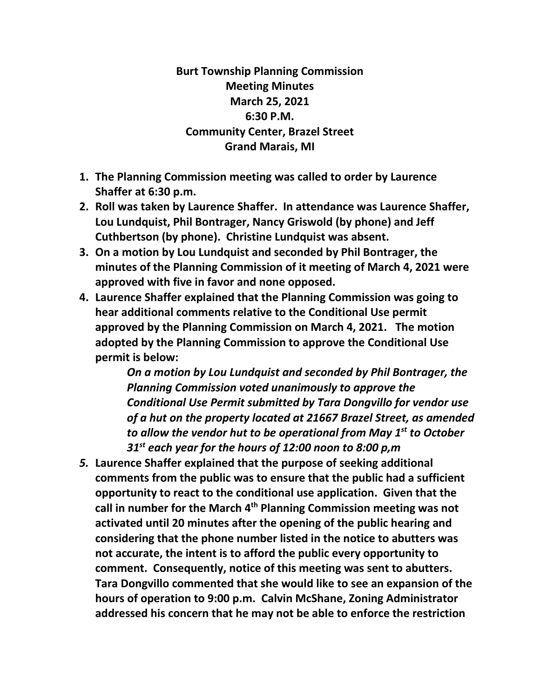**Burt Township Planning Commission Meeting Minutes March 25, 2021 6:30 P.M. Community Center, Brazel Street Grand Marais, MI**

- **1. The Planning Commission meeting was called to order by Laurence Shaffer at 6:30 p.m.**
- **2. Roll was taken by Laurence Shaffer. In attendance was Laurence Shaffer, Lou Lundquist, Phil Bontrager, Nancy Griswold (by phone) and Jeff Cuthbertson (by phone). Christine Lundquist was absent.**
- **3. On a motion by Lou Lundquist and seconded by Phil Bontrager, the minutes of the Planning Commission of it meeting of March 4, 2021 were approved with five in favor and none opposed.**
- **4. Laurence Shaffer explained that the Planning Commission was going to hear additional comments relative to the Conditional Use permit approved by the Planning Commission on March 4, 2021. The motion adopted by the Planning Commission to approve the Conditional Use permit is below:**

*On a motion by Lou Lundquist and seconded by Phil Bontrager, the Planning Commission voted unanimously to approve the Conditional Use Permit submitted by Tara Dongvillo for vendor use of a hut on the property located at 21667 Brazel Street, as amended to allow the vendor hut to be operational from May 1st to October 31st each year for the hours of 12:00 noon to 8:00 p,m*

*5.* **Laurence Shaffer explained that the purpose of seeking additional comments from the public was to ensure that the public had a sufficient opportunity to react to the conditional use application. Given that the call in number for the March 4th Planning Commission meeting was not activated until 20 minutes after the opening of the public hearing and considering that the phone number listed in the notice to abutters was not accurate, the intent is to afford the public every opportunity to comment. Consequently, notice of this meeting was sent to abutters. Tara Dongvillo commented that she would like to see an expansion of the hours of operation to 9:00 p.m. Calvin McShane, Zoning Administrator addressed his concern that he may not be able to enforce the restriction**